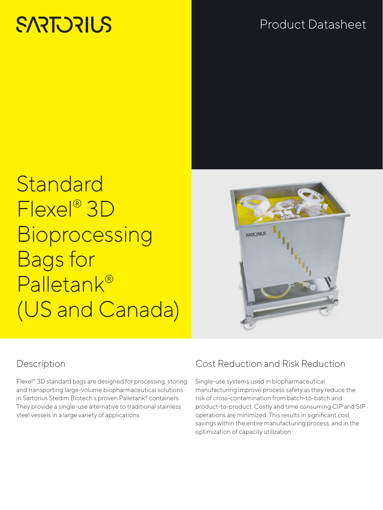# **SARTORILS**

## Product Datasheet

## **Standard** Flexel® 3D **Bioprocessing** Bags for Palletank® (US and Canada)



## Description

Flexel® 3D standard bags are designed for processing, storing and transporting large-volume biopharmaceutical solutions in Sartorius Stedim Biotech's proven Palletank® containers. They provide a single-use alternative to traditional stainless steel vessels in a large variety of applications.

## Cost Reduction and Risk Reduction

Single-use systems used in biopharmaceutical manufacturing improve process safety as they reduce the risk of cross-contamination from batch-to-batch and product-to-product. Costly and time consuming CIP and SIP operations are minimized. This results in significant cost savings within the entire manufacturing process, and in the optimization of capacity utilization.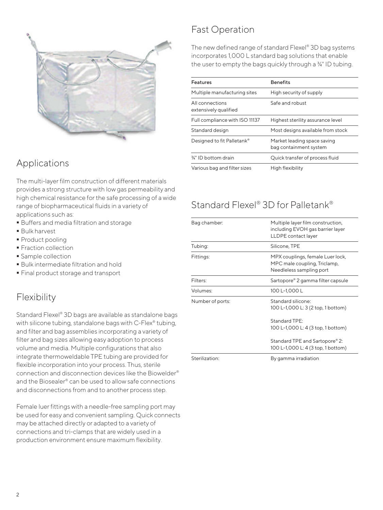

#### Applications

The multi-layer film construction of different materials provides a strong structure with low gas permeability and high chemical resistance for the safe processing of a wide range of biopharmaceutical fluids in a variety of applications such as:

- Buffers and media filtration and storage
- Bulk harvest
- **Product pooling**
- **Fraction collection**
- **Sample collection**
- **Bulk intermediate filtration and hold**
- **Final product storage and transport**

#### Flexibility

Standard Flexel® 3D bags are available as standalone bags with silicone tubing, standalone bags with C-Flex<sup>®</sup> tubing, and filter and bag assemblies incorporating a variety of filter and bag sizes allowing easy adoption to process volume and media. Multiple configurations that also integrate thermoweldable TPE tubing are provided for flexible incorporation into your process. Thus, sterile connection and disconnection devices like the Biowelder® and the Biosealer® can be used to allow safe connections and disconnections from and to another process step.

Female luer fittings with a needle-free sampling port may be used for easy and convenient sampling. Quick connects may be attached directly or adapted to a variety of connections and tri-clamps that are widely used in a production environment ensure maximum flexibility.

#### Fast Operation

The new defined range of standard Flexel® 3D bag systems incorporates 1,000 L standard bag solutions that enable the user to empty the bags quickly through a ¾" ID tubing.

| <b>Features</b>                          | <b>Benefits</b>                                       |
|------------------------------------------|-------------------------------------------------------|
| Multiple manufacturing sites             | High security of supply                               |
| All connections<br>extensively qualified | Safe and robust                                       |
| Full compliance with ISO 11137           | Highest sterility assurance level                     |
| Standard design                          | Most designs available from stock                     |
| Designed to fit Palletank®               | Market leading space saving<br>bag containment system |
| 3⁄4" ID bottom drain                     | Quick transfer of process fluid                       |
| Various bag and filter sizes             | High flexibility                                      |

## Standard Flexel® 3D for Palletank®

| Bag chamber:     | Multiple layer film construction,<br>including EVOH gas barrier layer<br>LLDPE contact layer |
|------------------|----------------------------------------------------------------------------------------------|
| Tubing:          | Silicone, TPE                                                                                |
| Fittings:        | MPX couplings, female Luer lock,<br>MPC male coupling, Triclamp,<br>Needleless sampling port |
| Filters:         | Sartopore® 2 gamma filter capsule                                                            |
| Volumes:         | 100 L-1,000 L                                                                                |
| Number of ports: | Standard silicone:<br>100 L-1,000 L: 3 (2 top, 1 bottom)                                     |
|                  | StandardTPF<br>100 L-1,000 L: 4 (3 top, 1 bottom)                                            |
|                  | Standard TPE and Sartopore® 2:<br>100 L-1,000 L: 4 (3 top, 1 bottom)                         |
| Sterilization:   | By gamma irradiation                                                                         |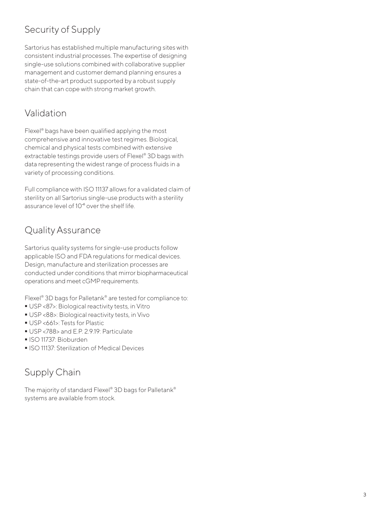## Security of Supply

Sartorius has established multiple manufacturing sites with consistent industrial processes. The expertise of designing single-use solutions combined with collaborative supplier management and customer demand planning ensures a state-of-the-art product supported by a robust supply chain that can cope with strong market growth.

## Validation

Flexel® bags have been qualified applying the most comprehensive and innovative test regimes. Biological, chemical and physical tests combined with extensive extractable testings provide users of Flexel® 3D bags with data representing the widest range of process fluids in a variety of processing conditions.

Full compliance with ISO 11137 allows for a validated claim of sterility on all Sartorius single-use products with a sterility assurance level of 10<sup>-6</sup> over the shelf life.

## Quality Assurance

Sartorius quality systems for single-use products follow applicable ISO and FDA regulations for medical devices. Design, manufacture and sterilization processes are conducted under conditions that mirror biopharmaceutical operations and meet cGMP requirements.

Flexel® 3D bags for Palletank® are tested for compliance to:

- USP <87>: Biological reactivity tests, in Vitro
- USP <88>: Biological reactivity tests, in Vivo
- USP <661>: Tests for Plastic
- USP <788> and E.P. 2.9.19: Particulate
- ISO 11737: Bioburden
- **ISO 11137: Sterilization of Medical Devices**

## Supply Chain

The majority of standard Flexel® 3D bags for Palletank® systems are available from stock.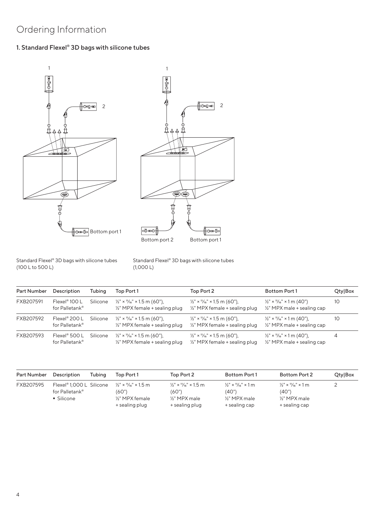## Ordering Information

#### 1. Standard Flexel® 3D bags with silicone tubes





Standard Flexel® 3D bags with silicone tubes (100 L to 500 L)

Standard Flexel® 3D bags with silicone tubes (1,000 L)

| <b>Part Number</b> | Description                                 | Tubing   | Top Port 1                                                                          | Top Port 2                                                                          | <b>Bottom Port 1</b>                                                                      | Qty Box |
|--------------------|---------------------------------------------|----------|-------------------------------------------------------------------------------------|-------------------------------------------------------------------------------------|-------------------------------------------------------------------------------------------|---------|
| FXB207591          | Flexel <sup>®</sup> 100 L<br>for Palletank® | Silicone | $\frac{1}{2}$ " × $\frac{1}{16}$ " × 1.5 m (60"),<br>1/2" MPX female + sealing plug | $\frac{1}{2}$ " × $\frac{1}{16}$ " × 1.5 m (60"),<br>1/2" MPX female + sealing plug | $\frac{1}{2}$ " × $\frac{1}{16}$ " × 1 m (40")<br>1/2" MPX male + sealing cap             | 10      |
| FXB207592          | Flexel® 200 L<br>for Palletank®             | Silicone | $\frac{1}{2}$ " × $\frac{1}{16}$ " × 1.5 m (60").<br>1/2" MPX female + sealing plug | $\frac{1}{2}$ " × $\frac{1}{16}$ " × 1.5 m (60"),<br>1/2" MPX female + sealing plug | $\frac{1}{2}$ " × $\frac{1}{16}$ " × 1 m (40").<br>1/2" MPX male + sealing cap            | 10      |
| FXB207593          | Flexel <sup>®</sup> 500 L<br>for Palletank® | Silicone | $\frac{1}{2}$ " × $\frac{1}{16}$ " × 1.5 m (60"),<br>1/2" MPX female + sealing plug | $\frac{1}{2}$ " × $\frac{1}{16}$ " × 1.5 m (60"),<br>1/2" MPX female + sealing plug | $\frac{1}{2}$ " × $\frac{1}{16}$ " × 1 m (40").<br>$\frac{1}{2}$ " MPX male + sealing cap | 4       |

| Part Number | Tubina<br>Description                                                | Top Port 1                                                                                 | Top Port 2                                                                         | <b>Bottom Port 1</b>                                                            | Bottom Port 2                                                                   | Qty Box |
|-------------|----------------------------------------------------------------------|--------------------------------------------------------------------------------------------|------------------------------------------------------------------------------------|---------------------------------------------------------------------------------|---------------------------------------------------------------------------------|---------|
| FXB207595   | Flexel <sup>®</sup> 1,000 L Silicone<br>for Palletank®<br>• Silicone | $\frac{1}{2}$ " × '1/ <sub>6</sub> " × 1.5 m<br>(60")<br>1/3" MPX female<br>+ sealing plug | $\frac{1}{2}$ x $\frac{1}{16}$ x 1.5 m<br>(60")<br>1⁄8" MPX male<br>+ sealing plug | $\frac{1}{2}$ × $\frac{1}{16}$ × 1 m<br>(40")<br>1⁄3" MPX male<br>+ sealing cap | $\frac{1}{2}$ x $\frac{1}{16}$ x 1 m<br>(40")<br>1/2" MPX male<br>+ sealing cap |         |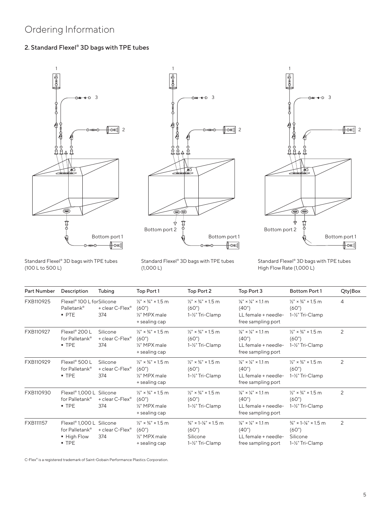### Ordering Information

#### 2. Standard Flexel® 3D bags with TPE tubes







Standard Flexel® 3D bags with TPE tubes (100 L to 500 L)

Standard Flexel® 3D bags with TPE tubes (1,000 L)

Standard Flexel® 3D bags with TPE tubes High Flow Rate (1,000 L)

| Part Number | Description                                                                      | Tubing                                         | Top Port 1                                                                                        | Top Port 2                                                                            | Top Port 3                                                                                      | Bottom Port 1                                                                         | Qty Box        |
|-------------|----------------------------------------------------------------------------------|------------------------------------------------|---------------------------------------------------------------------------------------------------|---------------------------------------------------------------------------------------|-------------------------------------------------------------------------------------------------|---------------------------------------------------------------------------------------|----------------|
| FXB110925   | Flexel <sup>®</sup> 100 L for Silicone<br>Palletank®<br>$-$ PTE                  | + clear C-Flex®<br>374                         | $\frac{1}{2}$ " × $\frac{3}{4}$ " × 1.5 m<br>(60")<br>1/ <sub>2</sub> " MPX male<br>+ sealing cap | $\frac{1}{2}$ " × $\frac{3}{4}$ " × 1.5 m<br>(60")<br>1-1/2" Tri-Clamp                | $\frac{1}{8}$ " × $\frac{1}{4}$ " × 1.1 m<br>(40")<br>LL female + needle-<br>free sampling port | $\frac{1}{2}$ " × $\frac{3}{4}$ " × 1.5 m<br>(60")<br>1-1/2" Tri-Clamp                | $\overline{4}$ |
| FXB110927   | Flexel® 200 L<br>for Palletank®<br>$-$ TPE                                       | Silicone<br>+ clear C-Flex <sup>®</sup><br>374 | $\frac{1}{2}$ " × $\frac{3}{4}$ " × 1.5 m<br>(60")<br>1/ <sub>2</sub> " MPX male<br>+ sealing cap | $\frac{1}{2}$ " × $\frac{3}{4}$ " × 1.5 m<br>(60")<br>1-1/2" Tri-Clamp                | $\frac{1}{8}$ " × $\frac{1}{4}$ " × 1.1 m<br>(40")<br>LL female + needle-<br>free sampling port | $\frac{1}{2}$ " × $\frac{3}{4}$ " × 1.5 m<br>(60")<br>1-1/2" Tri-Clamp                | 2              |
| FXB110929   | Flexel® 500 L<br>for Palletank®<br>$-$ TPE                                       | Silicone<br>+ clear C-Flex®<br>374             | $\frac{1}{9}$ " × $\frac{3}{4}$ " × 1.5 m<br>(60")<br>1/ <sub>2</sub> " MPX male<br>+ sealing cap | $\frac{1}{9}$ " × $\frac{3}{4}$ " × 1.5 m<br>(60")<br>1-1/2" Tri-Clamp                | $\frac{1}{8}$ " × $\frac{1}{4}$ " × 1.1 m<br>(40")<br>LL female + needle-<br>free sampling port | $\frac{1}{9}$ " × $\frac{3}{4}$ " × 1.5 m<br>(60")<br>1-1/2" Tri-Clamp                | $\overline{2}$ |
| FXB110930   | Flexel <sup>®</sup> 1,000 L Silicone<br>for Palletank®<br>$-$ TPE                | + clear C-Flex®<br>374                         | $\frac{1}{2}$ " × $\frac{3}{4}$ " × 1.5 m<br>(60")<br>1/ <sub>2</sub> " MPX male<br>+ sealing cap | $\frac{1}{2}$ " × $\frac{3}{4}$ " × 1.5 m<br>(60")<br>1-1/2" Tri-Clamp                | $\frac{1}{8}$ " × $\frac{1}{4}$ " × 1.1 m<br>(40")<br>LL female + needle-<br>free sampling port | $\frac{1}{2}$ " × $\frac{3}{4}$ " × 1.5 m<br>(60")<br>1-1/2" Tri-Clamp                | 2              |
| FXB111157   | Flexel <sup>®</sup> 1,000 L Silicone<br>for Palletank®<br>■ High Flow<br>$-$ TPE | + clear C-Flex®<br>374                         | $\frac{1}{2}$ " × $\frac{3}{4}$ " × 1.5 m<br>(60")<br>1/ <sub>2</sub> " MPX male<br>+ sealing cap | $\frac{3}{4}$ " × 1- $\frac{1}{8}$ " × 1.5 m<br>(60")<br>Silicone<br>1-1/2" Tri-Clamp | $\frac{1}{8}$ " × $\frac{1}{4}$ " × 1.1 m<br>(40")<br>LL female + needle-<br>free sampling port | $\frac{3}{4}$ " × 1- $\frac{1}{8}$ " × 1.5 m<br>(60")<br>Silicone<br>1-1/2" Tri-Clamp | 2              |

C-Flex® is a registered trademark of Saint-Gobain Performance Plastics Corporation.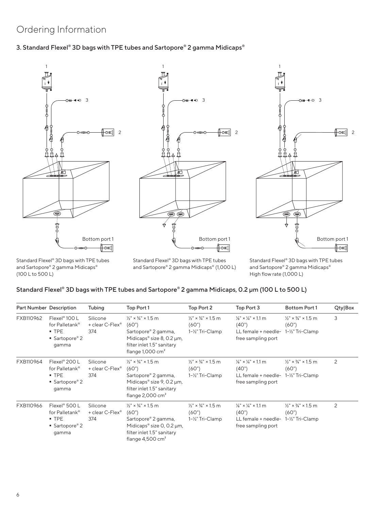#### Ordering Information

#### 3. Standard Flexel® 3D bags with TPE tubes and Sartopore® 2 gamma Midicaps®





Standard Flexel® 3D bags with TPE tubes and Sartopore® 2 gamma Midicaps® (100 L to 500 L)

Standard Flexel® 3D bags with TPE tubes and Sartopore® 2 gamma Midicaps® (1,000 L)



Standard Flexel® 3D bags with TPE tubes and Sartopore® 2 gamma Midicaps® High flow rate (1,000 L)

#### Standard Flexel® 3D bags with TPE tubes and Sartopore® 2 gamma Midicaps, 0.2 μm (100 L to 500 L)

| Part Number Description |                                                                                               | Tubing                                         | Top Port 1                                                                                                                                                                           | Top Port 2                                                             | Top Port 3                                                                                                       | <b>Bottom Port 1</b>                                                 | Qty Box |
|-------------------------|-----------------------------------------------------------------------------------------------|------------------------------------------------|--------------------------------------------------------------------------------------------------------------------------------------------------------------------------------------|------------------------------------------------------------------------|------------------------------------------------------------------------------------------------------------------|----------------------------------------------------------------------|---------|
| FXB110962               | Flexel <sup>®</sup> 100 L<br>for Palletank <sup>®</sup><br>$-$ TPE<br>■ Sartopore® 2<br>gamma | Silicone<br>+ clear C-Flex®<br>374             | $\frac{1}{2}$ " × $\frac{3}{4}$ " × 1.5 m<br>(60")<br>Sartopore® 2 gamma,<br>Midicaps <sup>®</sup> size 8, 0.2 $\mu$ m,<br>filter inlet 1.5" sanitary<br>flange $1,000 \text{ cm}^2$ | $\frac{1}{2}$ " × $\frac{3}{4}$ " × 1.5 m<br>(60")<br>1-1/2" Tri-Clamp | $\frac{1}{8}$ " × $\frac{1}{4}$ " × 1.1 m<br>(40")<br>LL female + needle- 1-1/2" Tri-Clamp<br>free sampling port | $\frac{1}{2}$ " × $\frac{3}{4}$ " × 1.5 m<br>(60")                   | 3       |
| FXB110964               | Flexel <sup>®</sup> 200 L<br>for Palletank®<br>$-$ TPE<br>■ Sartopore® 2<br>gamma             | Silicone<br>+ clear C-Flex <sup>®</sup><br>374 | $\frac{1}{2}$ " × $\frac{3}{4}$ " × 1.5 m<br>(60")<br>Sartopore® 2 gamma,<br>Midicaps® size 9, 0.2 µm,<br>filter inlet 1.5" sanitary<br>flange $2,000 \text{ cm}^2$                  | $\frac{1}{2}$ " × $\frac{3}{4}$ " × 1.5 m<br>(60")<br>1-1/2" Tri-Clamp | $\frac{1}{8}$ " × $\frac{1}{4}$ " × 1.1 m<br>(40")<br>LL female + needle- 1-1/2" Tri-Clamp<br>free sampling port | $\frac{1}{2}$ " × $\frac{3}{4}$ " × 1.5 m<br>(60")                   | 2       |
| FXB110966               | Flexel <sup>®</sup> 500 L<br>for Palletank <sup>®</sup><br>$-$ TPE<br>■ Sartopore® 2<br>gamma | Silicone<br>+ clear C-Flex®<br>374             | $\frac{1}{2}$ " × $\frac{3}{4}$ " × 1.5 m<br>(60")<br>Sartopore® 2 gamma,<br>Midicaps® size 0, 0.2 µm,<br>filter inlet 1.5" sanitary<br>flange $4,500 \text{ cm}^2$                  | $\frac{1}{2}$ " × $\frac{3}{4}$ " × 1.5 m<br>(60")<br>1-½" Tri-Clamp   | $\frac{1}{8}$ " × $\frac{1}{4}$ " × 1.1 m<br>(40")<br>LL female + needle-<br>free sampling port                  | $\frac{1}{2}$ " × $\frac{3}{4}$ " × 1.5 m<br>(60")<br>1-½" Tri-Clamp | 2       |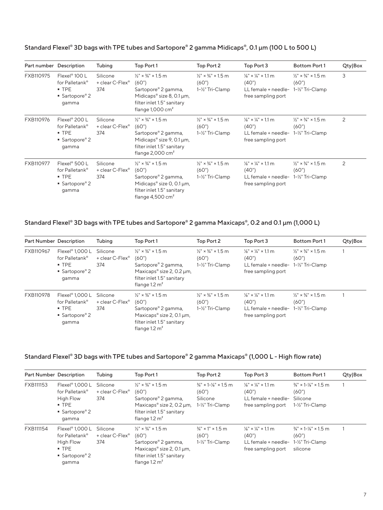|           | Part number Description                                                           | Tubing                                         | Top Port 1                                                                                                                                                                           | Top Port 2                                                                          | Top Port 3                                                                                      | <b>Bottom Port 1</b>                                                   | Qty Box |
|-----------|-----------------------------------------------------------------------------------|------------------------------------------------|--------------------------------------------------------------------------------------------------------------------------------------------------------------------------------------|-------------------------------------------------------------------------------------|-------------------------------------------------------------------------------------------------|------------------------------------------------------------------------|---------|
| FXB110975 | Flexel <sup>®</sup> 100 L<br>for Palletank®<br>$-$ TPE<br>■ Sartopore® 2<br>gamma | Silicone<br>+ clear C-Flex <sup>®</sup><br>374 | $\frac{1}{2}$ " × $\frac{3}{4}$ " × 1.5 m<br>(60")<br>Sartopore® 2 gamma,<br>Midicaps® size 8, 0.1 µm,<br>filter inlet 1.5" sanitary<br>flange $1,000 \text{ cm}^2$                  | $\frac{1}{2}$ " × $\frac{3}{4}$ " × 1.5 m<br>(60")<br>1-1/ <sub>2</sub> " Tri-Clamp | $\frac{1}{8}$ " × $\frac{1}{4}$ " × 1.1 m<br>(40")<br>LL female + needle-<br>free sampling port | $\frac{1}{2}$ " × $\frac{3}{4}$ " × 1.5 m<br>(60")<br>1-½" Tri-Clamp   | 3       |
| FXB110976 | Flexel <sup>®</sup> 200 L<br>for Palletank®<br>$-$ TPE<br>■ Sartopore® 2<br>gamma | Silicone<br>+ clear C-Flex <sup>®</sup><br>374 | $\frac{1}{2}$ " × $\frac{3}{4}$ " × 1.5 m<br>(60")<br>Sartopore® 2 gamma,<br>Midicaps <sup>®</sup> size 9, 0.1 $\mu$ m,<br>filter inlet 1.5" sanitary<br>flange $2,000 \text{ cm}^2$ | $\frac{1}{2}$ " × $\frac{3}{4}$ " × 1.5 m<br>(60")<br>1-1/2" Tri-Clamp              | $\frac{1}{8}$ " × $\frac{1}{4}$ " × 1.1 m<br>(40")<br>LL female + needle-<br>free sampling port | $\frac{1}{2}$ " × $\frac{3}{4}$ " × 1.5 m<br>(60")<br>1-½" Tri-Clamp   | 2       |
| FXB110977 | Flexel <sup>®</sup> 500 L<br>for Palletank®<br>$-$ TPE<br>■ Sartopore® 2<br>gamma | Silicone<br>+ clear C-Flex <sup>®</sup><br>374 | $\frac{1}{2}$ " × $\frac{3}{4}$ " × 1.5 m<br>(60")<br>Sartopore® 2 gamma,<br>Midicaps® size $0, 0.1 \mu m$ ,<br>filter inlet 1.5" sanitary<br>flange $4,500 \text{ cm}^2$            | $\frac{1}{2}$ " × $\frac{3}{4}$ " × 1.5 m<br>(60")<br>1-1/2" Tri-Clamp              | $\frac{1}{8}$ " × $\frac{1}{4}$ " × 1.1 m<br>(40")<br>LL female + needle-<br>free sampling port | $\frac{1}{2}$ " × $\frac{3}{4}$ " × 1.5 m<br>(60")<br>1-1/2" Tri-Clamp | 2       |

#### Standard Flexel® 3D bags with TPE tubes and Sartopore® 2 gamma Midicaps®, 0.1 µm (100 L to 500 L)

#### Standard Flexel® 3D bags with TPE tubes and Sartopore® 2 gamma Maxicaps®, 0.2 and 0.1 µm (1,000 L)

| Part Number Description |                                                                                     | Tubing                                         | Top Port 1                                                                                                                                                                        | Top Port 2                                                             | Top Port 3                                                                                                                  | <b>Bottom Port 1</b>                                                           | Qty Box |
|-------------------------|-------------------------------------------------------------------------------------|------------------------------------------------|-----------------------------------------------------------------------------------------------------------------------------------------------------------------------------------|------------------------------------------------------------------------|-----------------------------------------------------------------------------------------------------------------------------|--------------------------------------------------------------------------------|---------|
| FXB110967               | Flexel <sup>®</sup> 1,000 L<br>for Palletank®<br>$-$ TPE<br>■ Sartopore® 2<br>gamma | Silicone<br>+ clear C-Flex <sup>®</sup><br>374 | $\frac{1}{9}$ " x $\frac{3}{4}$ " x 1.5 m<br>(60")<br>Sartopore® 2 gamma,<br>Maxicaps® size 2, 0.2 µm,<br>filter inlet 1.5" sanitary<br>flange $1.2 \text{ m}^2$                  | $\frac{1}{2}$ " × $\frac{3}{4}$ " × 1.5 m<br>(60")<br>1-1/2" Tri-Clamp | $\frac{1}{8}$ " × $\frac{1}{4}$ " × 1.1 m<br>(40")<br>LL female + needle- $1-\frac{1}{2}$ " Tri-Clamp<br>free sampling port | $\frac{1}{2}$ " × $\frac{3}{4}$ " × 1.5 m<br>(60")                             |         |
| FXB110978               | Flexel® 1,000 L<br>for Palletank®<br>$-$ TPE<br>■ Sartopore® 2<br>gamma             | Silicone<br>+ clear C-Flex®<br>374             | $\frac{1}{9}$ " x $\frac{3}{4}$ " x 1.5 m<br>(60")<br>Sartopore® 2 gamma,<br>Maxicaps <sup>®</sup> size 2, 0.1 $\mu$ m,<br>filter inlet 1.5" sanitary<br>flange $1.2 \text{ m}^2$ | $\frac{1}{2}$ " × $\frac{3}{4}$ " × 1.5 m<br>(60")<br>1-1/2" Tri-Clamp | $\frac{1}{8}$ × $\frac{1}{4}$ × 1.1 m<br>(40")<br>LL female + needle-<br>free sampling port                                 | $\frac{1}{2}$ $\times$ $\frac{3}{4}$ $\times$ 1.5 m<br>(60")<br>1-½" Tri-Clamp |         |

#### Standard Flexel® 3D bags with TPE tubes and Sartopore® 2 gamma Maxicaps® (1,000 L - High flow rate)

| Part Number Description |                                                                                                             | Tubing                             | Top Port 1                                                                                                                                                                        | Top Port 2                                                                            | Top Port 3                                                                                  | <b>Bottom Port 1</b>                                                                  | Qty Box |
|-------------------------|-------------------------------------------------------------------------------------------------------------|------------------------------------|-----------------------------------------------------------------------------------------------------------------------------------------------------------------------------------|---------------------------------------------------------------------------------------|---------------------------------------------------------------------------------------------|---------------------------------------------------------------------------------------|---------|
| FXB111153               | Flexel <sup>®</sup> 1,000 L<br>for Palletank®<br>High Flow<br>$\blacksquare$ TPE<br>■ Sartopore® 2<br>qamma | Silicone<br>+ clear C-Flex®<br>374 | $\frac{1}{2}$ " × $\frac{3}{4}$ " × 1.5 m<br>(60")<br>Sartopore® 2 gamma,<br>Maxicaps® size 2, 0.2 µm,<br>filter inlet 1.5" sanitary<br>flange $1.2 \text{ m}^2$                  | $\frac{3}{4}$ " × 1- $\frac{1}{8}$ " × 1.5 m<br>(60")<br>Silicone<br>1-1/2" Tri-Clamp | $\frac{1}{8}$ × $\frac{1}{4}$ × 1.1 m<br>(40")<br>LL female + needle-<br>free sampling port | $\frac{3}{4}$ " × 1- $\frac{1}{8}$ " × 1.5 m<br>(60")<br>Silicone<br>1-1/2" Tri-Clamp |         |
| FXB111154               | Flexel <sup>®</sup> 1,000 L<br>for Palletank®<br>High Flow<br>$-$ TPE<br>■ Sartopore® 2<br>gamma            | Silicone<br>+ clear C-Flex®<br>374 | $\frac{1}{2}$ " × $\frac{3}{4}$ " × 1.5 m<br>(60")<br>Sartopore® 2 gamma,<br>Maxicaps <sup>®</sup> size 2, 0.1 $\mu$ m,<br>filter inlet 1.5" sanitary<br>flange $1.2 \text{ m}^2$ | $\frac{3}{4}$ " × 1" × 1.5 m<br>(60")<br>1-1/2" Tri-Clamp                             | $\frac{1}{8}$ × $\frac{1}{4}$ × 1.1 m<br>(40")<br>LL female + needle-<br>free sampling port | $\frac{3}{4}$ " × 1- $\frac{1}{8}$ " × 1.5 m<br>(60")<br>1-½" Tri-Clamp<br>silicone   |         |